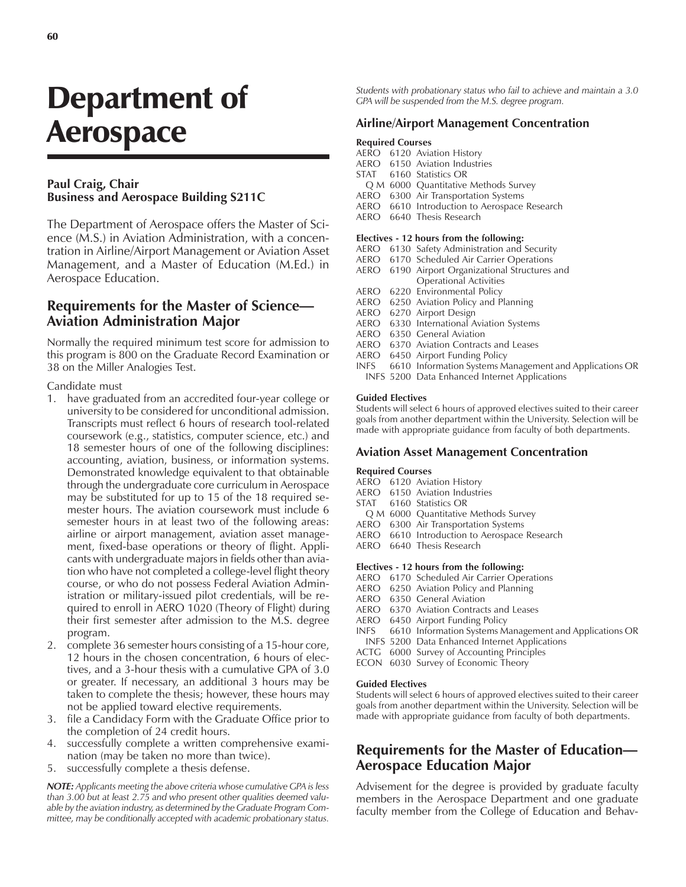# Department of Aerospace

### **Paul Craig, Chair Business and Aerospace Building S211C**

The Department of Aerospace offers the Master of Science (M.S.) in Aviation Administration, with a concentration in Airline/Airport Management or Aviation Asset Management, and a Master of Education (M.Ed.) in Aerospace Education.

## **Requirements for the Master of Science— Aviation Administration Major**

Normally the required minimum test score for admission to this program is 800 on the Graduate Record Examination or 38 on the Miller Analogies Test.

### Candidate must

- 1. have graduated from an accredited four-year college or university to be considered for unconditional admission. Transcripts must reflect 6 hours of research tool-related coursework (e.g., statistics, computer science, etc.) and 18 semester hours of one of the following disciplines: accounting, aviation, business, or information systems. Demonstrated knowledge equivalent to that obtainable through the undergraduate core curriculum in Aerospace may be substituted for up to 15 of the 18 required semester hours. The aviation coursework must include 6 semester hours in at least two of the following areas: airline or airport management, aviation asset management, fixed-base operations or theory of flight. Applicants with undergraduate majors in fields other than aviation who have not completed a college-level flight theory course, or who do not possess Federal Aviation Administration or military-issued pilot credentials, will be required to enroll in AERO 1020 (Theory of Flight) during their first semester after admission to the M.S. degree program.
- 2. complete 36 semester hours consisting of a 15-hour core, 12 hours in the chosen concentration, 6 hours of electives, and a 3-hour thesis with a cumulative GPA of 3.0 or greater. If necessary, an additional 3 hours may be taken to complete the thesis; however, these hours may not be applied toward elective requirements.
- 3. file a Candidacy Form with the Graduate Office prior to the completion of 24 credit hours.
- 4. successfully complete a written comprehensive examination (may be taken no more than twice).
- 5. successfully complete a thesis defense.

*NOTE: Applicants meeting the above criteria whose cumulative GPA is less than 3.00 but at least 2.75 and who present other qualities deemed valuable by the aviation industry, as determined by the Graduate Program Committee, may be conditionally accepted with academic probationary status.*

*Students with probationary status who fail to achieve and maintain a 3.0 GPA will be suspended from the M.S. degree program.*

### **Airline/Airport Management Concentration**

### **Required Courses**

- AERO 6120 Aviation History
- AERO 6150 Aviation Industries
- STAT 6160 Statistics OR
	- Q M 6000 Quantitative Methods Survey
- AERO 6300 Air Transportation Systems
- AERO 6610 Introduction to Aerospace Research AERO 6640 Thesis Research
- 

### **Electives - 12 hours from the following:**

- AERO 6130 Safety Administration and Security
- AERO 6170 Scheduled Air Carrier Operations
- AERO 6190 Airport Organizational Structures and Operational Activities
- AERO 6220 Environmental Policy
- AERO 6250 Aviation Policy and Planning
- AERO 6270 Airport Design
- AERO 6330 International Aviation Systems
- AERO 6350 General Aviation
- AERO 6370 Aviation Contracts and Leases
- AERO 6450 Airport Funding Policy
- INFS 6610 Information Systems Management and Applications OR INFS 5200 Data Enhanced Internet Applications

### **Guided Electives**

Students will select 6 hours of approved electives suited to their career goals from another department within the University. Selection will be made with appropriate guidance from faculty of both departments.

### **Aviation Asset Management Concentration**

#### **Required Courses**

- AERO 6120 Aviation History
- AERO 6150 Aviation Industries
- STAT 6160 Statistics OR
- Q M 6000 Quantitative Methods Survey
- AERO 6300 Air Transportation Systems
- AERO 6610 Introduction to Aerospace Research
- AERO 6640 Thesis Research

#### **Electives - 12 hours from the following:**

- AERO 6170 Scheduled Air Carrier Operations
- AERO 6250 Aviation Policy and Planning
- AERO 6350 General Aviation
- AERO 6370 Aviation Contracts and Leases
- AERO 6450 Airport Funding Policy
- INFS 6610 Information Systems Management and Applications OR
- INFS 5200 Data Enhanced Internet Applications
- ACTG 6000 Survey of Accounting Principles
- ECON 6030 Survey of Economic Theory

### **Guided Electives**

Students will select 6 hours of approved electives suited to their career goals from another department within the University. Selection will be made with appropriate guidance from faculty of both departments.

# **Requirements for the Master of Education— Aerospace Education Major**

Advisement for the degree is provided by graduate faculty members in the Aerospace Department and one graduate faculty member from the College of Education and Behav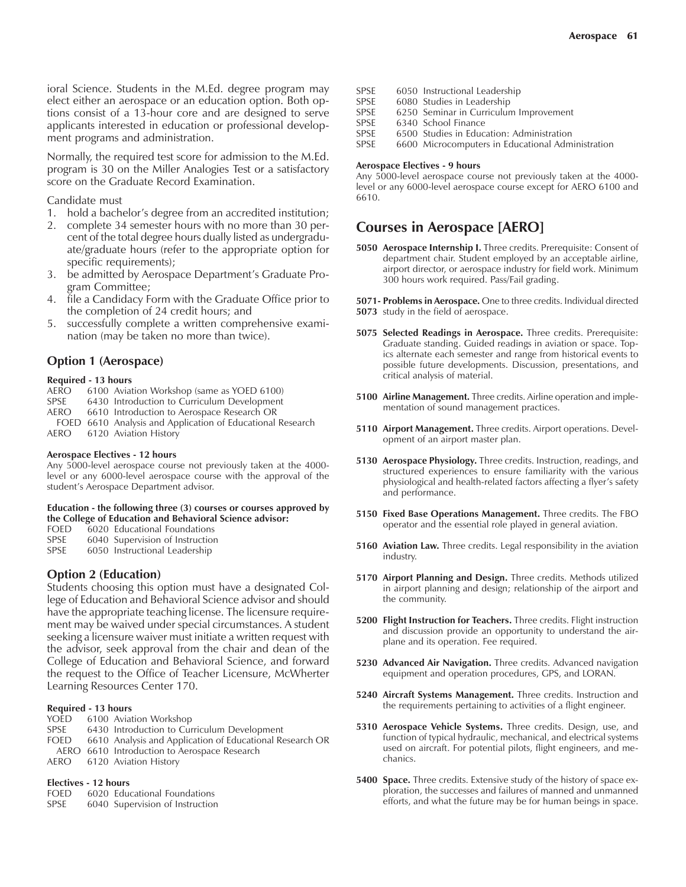ioral Science. Students in the M.Ed. degree program may elect either an aerospace or an education option. Both options consist of a 13-hour core and are designed to serve applicants interested in education or professional development programs and administration.

Normally, the required test score for admission to the M.Ed. program is 30 on the Miller Analogies Test or a satisfactory score on the Graduate Record Examination.

### Candidate must

- 1. hold a bachelor's degree from an accredited institution;
- 2. complete 34 semester hours with no more than 30 percent of the total degree hours dually listed as undergraduate/graduate hours (refer to the appropriate option for specific requirements);
- 3. be admitted by Aerospace Department's Graduate Program Committee;
- 4. file a Candidacy Form with the Graduate Office prior to the completion of 24 credit hours; and
- 5. successfully complete a written comprehensive examination (may be taken no more than twice).

### **Option 1 (Aerospace)**

#### **Required - 13 hours**

- AERO 6100 Aviation Workshop (same as YOED 6100)
- SPSE 6430 Introduction to Curriculum Development<br>AERO 6610 Introduction to Aerospace Research OR
- 6610 Introduction to Aerospace Research OR
- FOED 6610 Analysis and Application of Educational Research AERO 6120 Aviation History

### **Aerospace Electives - 12 hours**

Any 5000-level aerospace course not previously taken at the 4000 level or any 6000-level aerospace course with the approval of the student's Aerospace Department advisor.

### **Education - the following three (3) courses or courses approved by the College of Education and Behavioral Science advisor:**

- FOED 6020 Educational Foundations
- SPSE 6040 Supervision of Instruction
- SPSE 6050 Instructional Leadership

### **Option 2 (Education)**

Students choosing this option must have a designated College of Education and Behavioral Science advisor and should have the appropriate teaching license. The licensure requirement may be waived under special circumstances. A student seeking a licensure waiver must initiate a written request with the advisor, seek approval from the chair and dean of the College of Education and Behavioral Science, and forward the request to the Office of Teacher Licensure, McWherter Learning Resources Center 170.

# **Required - 13 hours**

- 6100 Aviation Workshop
- SPSE 6430 Introduction to Curriculum Development
- FOED 6610 Analysis and Application of Educational Research OR
- AERO 6610 Introduction to Aerospace Research
- AERO 6120 Aviation History

# **Electives - 12 hours**<br>**EOED** 6020 **Educ**

- 6020 Educational Foundations
- SPSE 6040 Supervision of Instruction

SPSE 6050 Instructional Leadership<br>SPSE 6080 Studies in Leadership 6080 Studies in Leadership SPSE 6250 Seminar in Curriculum Improvement<br>SPSE 6340 School Finance 6340 School Finance SPSE 6500 Studies in Education: Administration SPSE 6600 Microcomputers in Educational Administration

### **Aerospace Electives - 9 hours**

Any 5000-level aerospace course not previously taken at the 4000 level or any 6000-level aerospace course except for AERO 6100 and 6610.

### **Courses in Aerospace [AERO]**

- **5050 Aerospace Internship I.** Three credits. Prerequisite: Consent of department chair. Student employed by an acceptable airline, airport director, or aerospace industry for field work. Minimum 300 hours work required. Pass/Fail grading.
- **5071- Problems in Aerospace.** One to three credits. Individual directed **5073** study in the field of aerospace.
- **5075 Selected Readings in Aerospace.** Three credits. Prerequisite: Graduate standing. Guided readings in aviation or space. Topics alternate each semester and range from historical events to possible future developments. Discussion, presentations, and critical analysis of material.
- **5100 Airline Management.** Three credits. Airline operation and implementation of sound management practices.
- **5110 Airport Management.** Three credits. Airport operations. Development of an airport master plan.
- **5130 Aerospace Physiology.** Three credits. Instruction, readings, and structured experiences to ensure familiarity with the various physiological and health-related factors affecting a flyer's safety and performance.
- **5150 Fixed Base Operations Management.** Three credits. The FBO operator and the essential role played in general aviation.
- **5160 Aviation Law.** Three credits. Legal responsibility in the aviation industry.
- **5170 Airport Planning and Design.** Three credits. Methods utilized in airport planning and design; relationship of the airport and the community.
- **5200 Flight Instruction for Teachers.** Three credits. Flight instruction and discussion provide an opportunity to understand the airplane and its operation. Fee required.
- **5230 Advanced Air Navigation.** Three credits. Advanced navigation equipment and operation procedures, GPS, and LORAN.
- **5240 Aircraft Systems Management.** Three credits. Instruction and the requirements pertaining to activities of a flight engineer.
- **5310 Aerospace Vehicle Systems.** Three credits. Design, use, and function of typical hydraulic, mechanical, and electrical systems used on aircraft. For potential pilots, flight engineers, and mechanics.
- **5400 Space.** Three credits. Extensive study of the history of space exploration, the successes and failures of manned and unmanned efforts, and what the future may be for human beings in space.